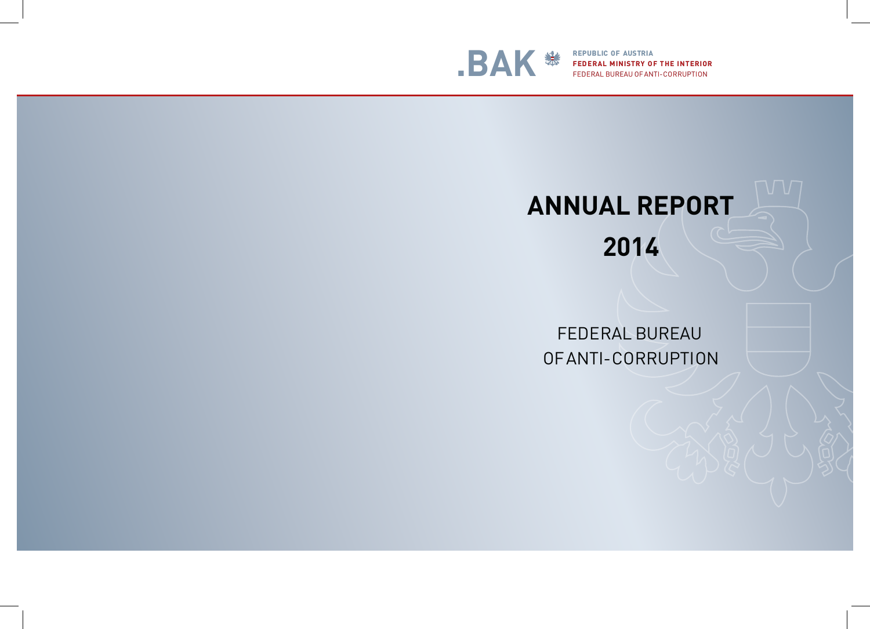# **2014**





**FEDERAL MINISTRY OF THE INTERIOR** FEDERAL BUREAU OF ANTI-CORRUPTION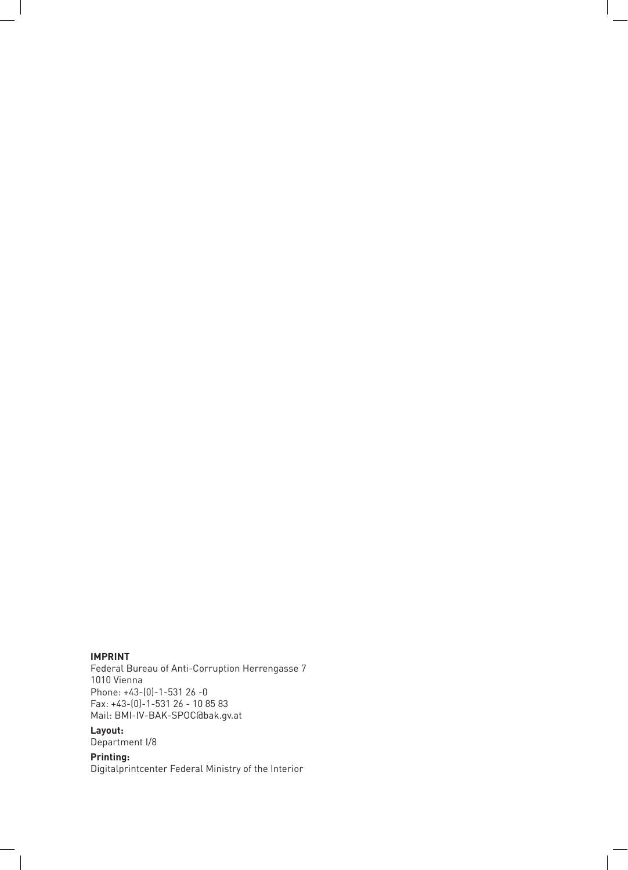#### **IMPRINT**

Federal Bureau of Anti-Corruption Herrengasse 7 1010 Vienna Phone: +43-(0)-1-531 26 -0 Fax: +43-(0)-1-531 26 - 10 85 83 Mail: BMI-IV-BAK-SPOC@bak.gv.at

### **Layout:**

Department I/8

#### **Printing:**

Digitalprintcenter Federal Ministry of the Interior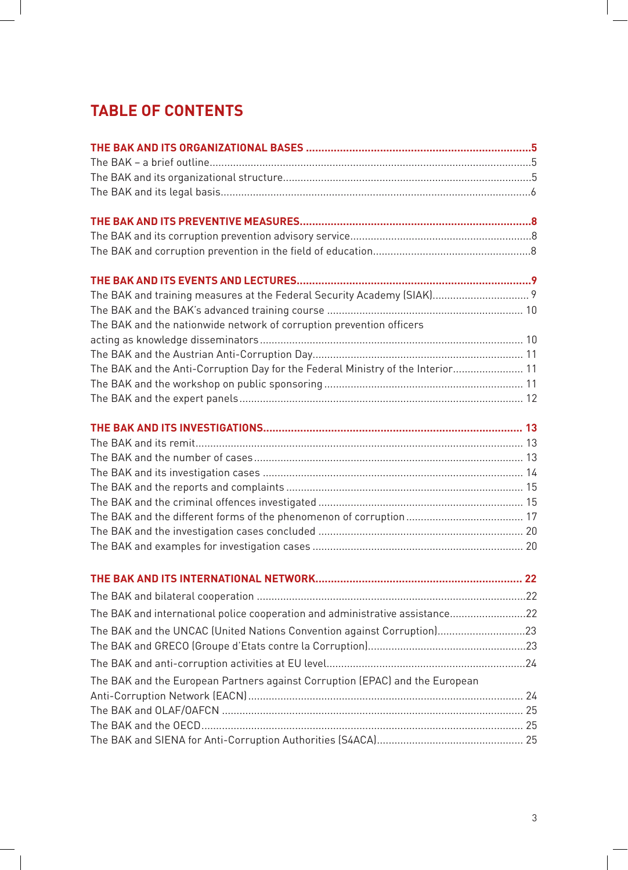# **TABLE OF CONTENTS**

| The BAK and training measures at the Federal Security Academy (SIAK) 9          |    |
|---------------------------------------------------------------------------------|----|
|                                                                                 |    |
| The BAK and the nationwide network of corruption prevention officers            |    |
|                                                                                 |    |
|                                                                                 |    |
| The BAK and the Anti-Corruption Day for the Federal Ministry of the Interior 11 |    |
|                                                                                 |    |
|                                                                                 |    |
|                                                                                 |    |
|                                                                                 |    |
|                                                                                 |    |
|                                                                                 |    |
|                                                                                 |    |
|                                                                                 |    |
|                                                                                 |    |
|                                                                                 |    |
|                                                                                 |    |
|                                                                                 | 22 |
|                                                                                 |    |
| The BAK and international police cooperation and administrative assistance22    |    |
| The BAK and the UNCAC (United Nations Convention against Corruption)23          |    |
|                                                                                 |    |
|                                                                                 |    |
| The BAK and the European Partners against Corruption (EPAC) and the European    |    |
|                                                                                 |    |
|                                                                                 |    |
|                                                                                 |    |
|                                                                                 |    |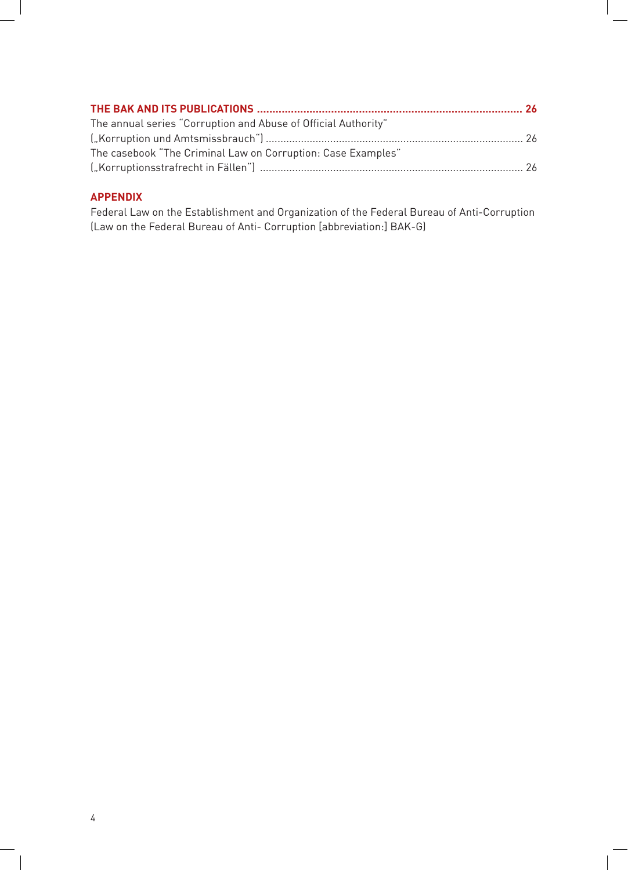| The annual series "Corruption and Abuse of Official Authority"        |  |
|-----------------------------------------------------------------------|--|
| ("Korruption und Amtsmissbrauch") …………………………………………………………………………………… 26 |  |
| The casebook "The Criminal Law on Corruption: Case Examples"          |  |
|                                                                       |  |
|                                                                       |  |

#### **APPENDIX**

Federal Law on the Establishment and Organization of the Federal Bureau of Anti-Corruption (Law on the Federal Bureau of Anti- Corruption [abbreviation:] BAK-G)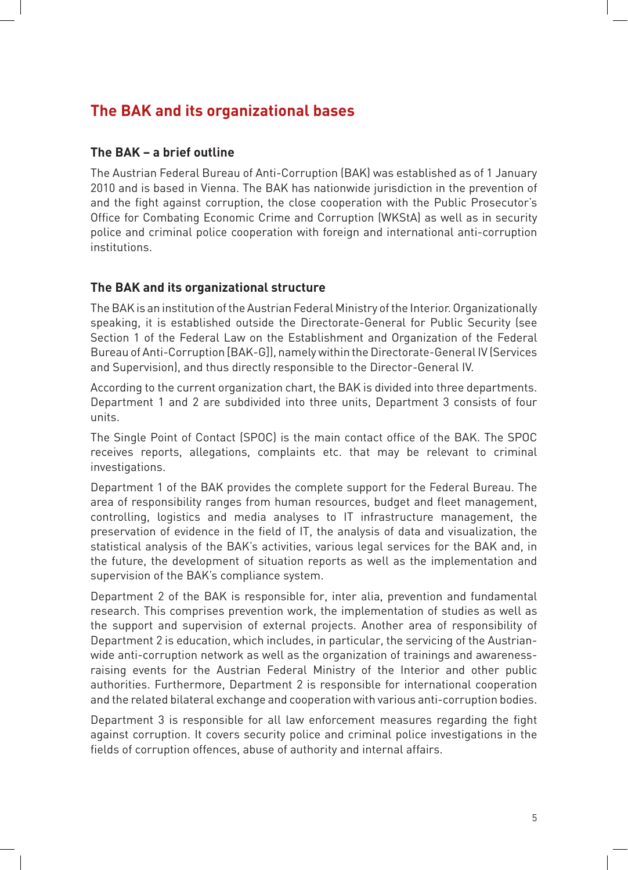# **The BAK and its organizational bases**

#### **The BAK – a brief outline**

 The Austrian Federal Bureau of Anti-Corruption (BAK) was established as of 1 January 2010 and is based in Vienna. The BAK has nationwide jurisdiction in the prevention of and the fight against corruption, the close cooperation with the Public Prosecutor's Office for Combating Economic Crime and Corruption (WKStA) as well as in security police and criminal police cooperation with foreign and international anti-corruption institutions.

#### **The BAK and its organizational structure**

 The BAK is an institution of the Austrian Federal Ministry of the Interior. Organizationally speaking, it is established outside the Directorate-General for Public Security (see Section 1 of the Federal Law on the Establishment and Organization of the Federal Bureau of Anti-Corruption [BAK-G]], namely within the Directorate-General IV (Services and Supervision), and thus directly responsible to the Director-General IV.

According to the current organization chart, the BAK is divided into three departments. Department 1 and 2 are subdivided into three units, Department 3 consists of four units.

The Single Point of Contact (SPOC) is the main contact office of the BAK. The SPOC receives reports, allegations, complaints etc. that may be relevant to criminal investigations.

 Department 1 of the BAK provides the complete support for the Federal Bureau. The area of responsibility ranges from human resources, budget and fleet management, controlling, logistics and media analyses to IT infrastructure management, the preservation of evidence in the field of IT, the analysis of data and visualization, the statistical analysis of the BAK's activities, various legal services for the BAK and, in the future, the development of situation reports as well as the implementation and supervision of the BAK's compliance system.

Department 2 of the BAK is responsible for, inter alia, prevention and fundamental research. This comprises prevention work, the implementation of studies as well as the support and supervision of external projects. Another area of responsibility of Department 2 is education, which includes, in particular, the servicing of the Austrianwide anti-corruption network as well as the organization of trainings and awarenessraising events for the Austrian Federal Ministry of the Interior and other public authorities. Furthermore, Department 2 is responsible for international cooperation and the related bilateral exchange and cooperation with various anti-corruption bodies.

Department 3 is responsible for all law enforcement measures regarding the fight against corruption. It covers security police and criminal police investigations in the fields of corruption offences, abuse of authority and internal affairs.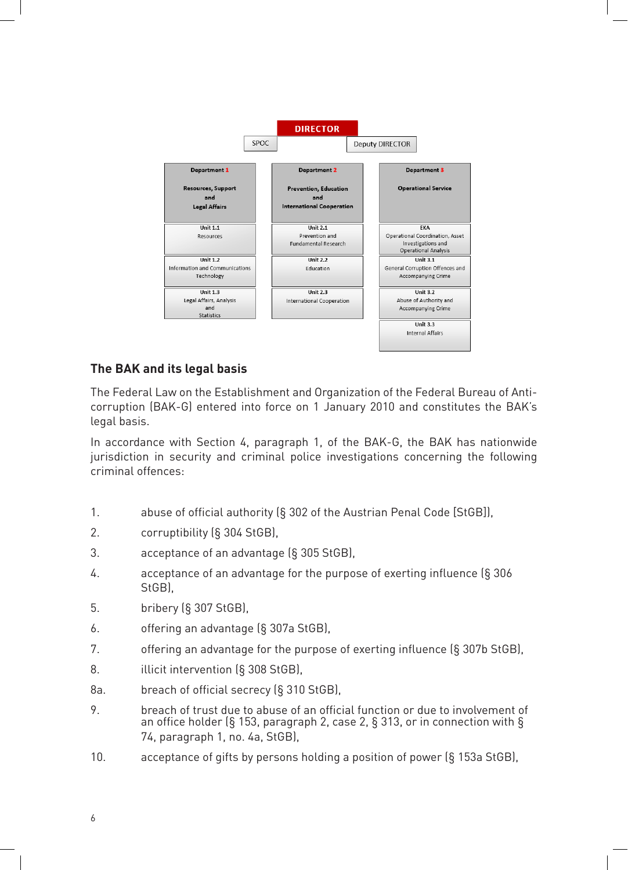

#### **The BAK and its legal basis**

 The Federal Law on the Establishment and Organization of the Federal Bureau of Anticorruption (BAK-G) entered into force on 1 January 2010 and constitutes the BAK's legal basis.

In accordance with Section 4, paragraph 1, of the BAK-G, the BAK has nationwide jurisdiction in security and criminal police investigations concerning the following criminal offences:

- 1. abuse of official authority (§ 302 of the Austrian Penal Code [StGB]),
- 2. corruptibility (§ 304 StGB),
- 3. acceptance of an advantage (§ 305 StGB),
- 4.  $\frac{1}{3}$  acceptance of an advantage for the purpose of exerting influence  $\frac{1}{3}$  306 StGB),
- 5. **bribery** (§ 307 StGB),
- $6.$  offering an advantage  $(S$  307a StGB),
- 7. offering an advantage for the purpose of exerting influence (§ 307b StGB),
- 8. **Illicit intervention** (§ 308 StGB),
- 8a. breach of official secrecy (§ 310 StGB),
- 9. breach of trust due to abuse of an official function or due to involvement of an office holder (§ 153, paragraph 2, case 2, § 313, or in connection with § 74, paragraph 1, no. 4a, StGB),
- 10. acceptance of gifts by persons holding a position of power (§ 153a StGB),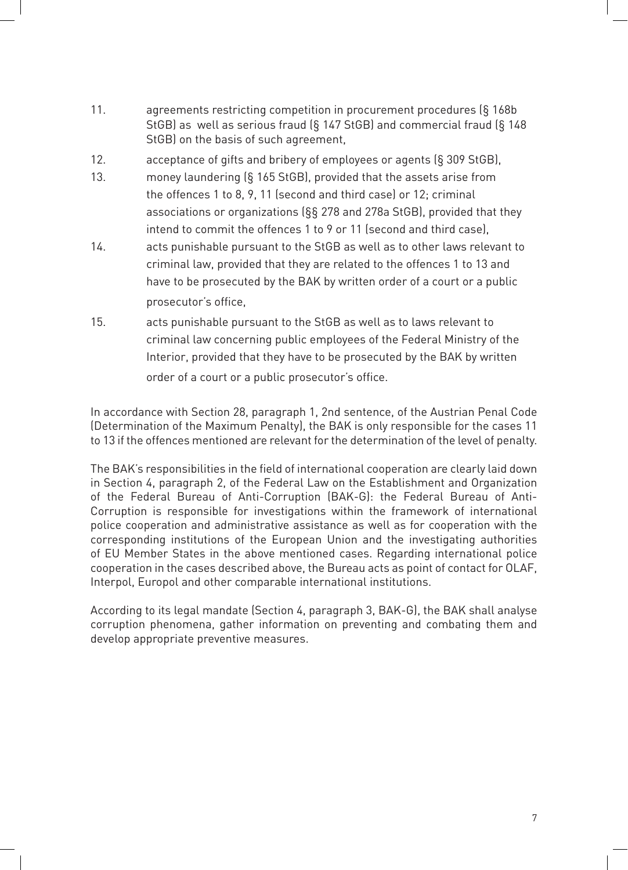- 11.  $\qquad$  agreements restricting competition in procurement procedures (§ 168b) StGB) as well as serious fraud  $($ § 147 StGB) and commercial fraud  $($ § 148 StGB) on the basis of such agreement,
- 12.  $\qquad \qquad$  acceptance of gifts and bribery of employees or agents (§ 309 StGB),
- 13. money laundering  $(S$  165 StGB), provided that the assets arise from the offences 1 to 8, 9, 11 (second and third case) or 12; criminal associations or organizations ( $\S$ § 278 and 278a StGB), provided that they intend to commit the offences 1 to 9 or 11 (second and third case),
- 14. acts punishable pursuant to the StGB as well as to other laws relevant to criminal law, provided that they are related to the offences 1 to 13 and have to be prosecuted by the BAK by written order of a court or a public prosecutor's office,
- 15. acts punishable pursuant to the StGB as well as to laws relevant to criminal law concerning public employees of the Federal Ministry of the Interior, provided that they have to be prosecuted by the BAK by written order of a court or a public prosecutor's office.

In accordance with Section 28, paragraph 1, 2nd sentence, of the Austrian Penal Code (Determination of the Maximum Penalty), the BAK is only responsible for the cases 11 to 13 if the offences mentioned are relevant for the determination of the level of penalty.

The BAK's responsibilities in the field of international cooperation are clearly laid down in Section 4, paragraph 2, of the Federal Law on the Establishment and Organization of the Federal Bureau of Anti-Corruption (BAK-G): the Federal Bureau of Anti-Corruption is responsible for investigations within the framework of international police cooperation and administrative assistance as well as for cooperation with the corresponding institutions of the European Union and the investigating authorities of EU Member States in the above mentioned cases. Regarding international police cooperation in the cases described above, the Bureau acts as point of contact for OLAF, Interpol, Europol and other comparable international institutions.

According to its legal mandate (Section 4, paragraph 3, BAK-G), the BAK shall analyse corruption phenomena, gather information on preventing and combating them and develop appropriate preventive measures.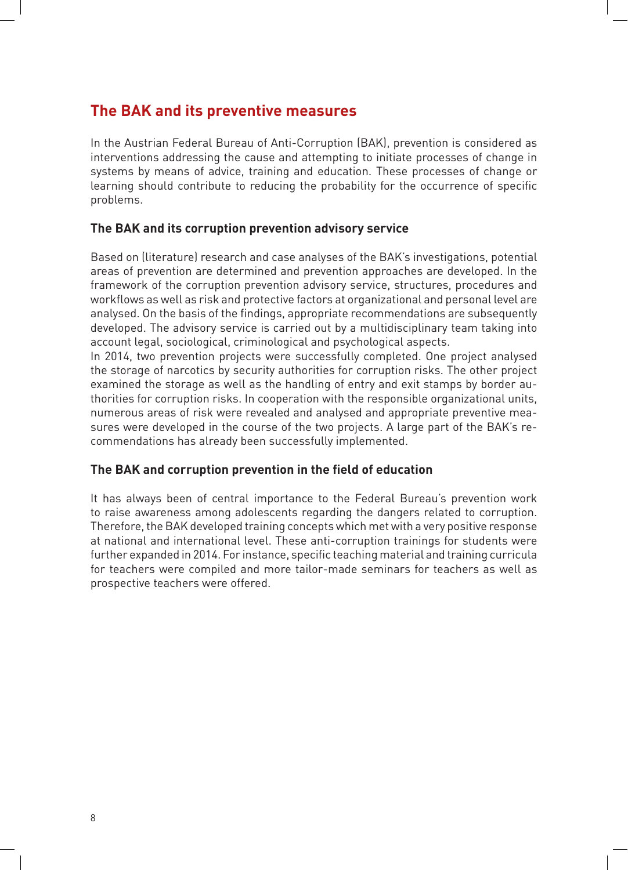## **The BAK and its preventive measures**

In the Austrian Federal Bureau of Anti-Corruption (BAK), prevention is considered as interventions addressing the cause and attempting to initiate processes of change in systems by means of advice, training and education. These processes of change or learning should contribute to reducing the probability for the occurrence of specific problems.

#### **The BAK and its corruption prevention advisory service**

Based on (literature) research and case analyses of the BAK's investigations, potential areas of prevention are determined and prevention approaches are developed. In the framework of the corruption prevention advisory service, structures, procedures and workflows as well as risk and protective factors at organizational and personal level are analysed. On the basis of the findings, appropriate recommendations are subsequently developed. The advisory service is carried out by a multidisciplinary team taking into account legal, sociological, criminological and psychological aspects.

In 2014, two prevention projects were successfully completed. One project analysed the storage of narcotics by security authorities for corruption risks. The other project examined the storage as well as the handling of entry and exit stamps by border authorities for corruption risks. In cooperation with the responsible organizational units, numerous areas of risk were revealed and analysed and appropriate preventive measures were developed in the course of the two projects. A large part of the BAK's recommendations has already been successfully implemented.

#### **The BAK and corruption prevention in the ield of education**

It has always been of central importance to the Federal Bureau's prevention work to raise awareness among adolescents regarding the dangers related to corruption. Therefore, the BAK developed training concepts which met with a very positive response at national and international level. These anti-corruption trainings for students were further expanded in 2014. For instance, specific teaching material and training curricula for teachers were compiled and more tailor-made seminars for teachers as well as prospective teachers were offered.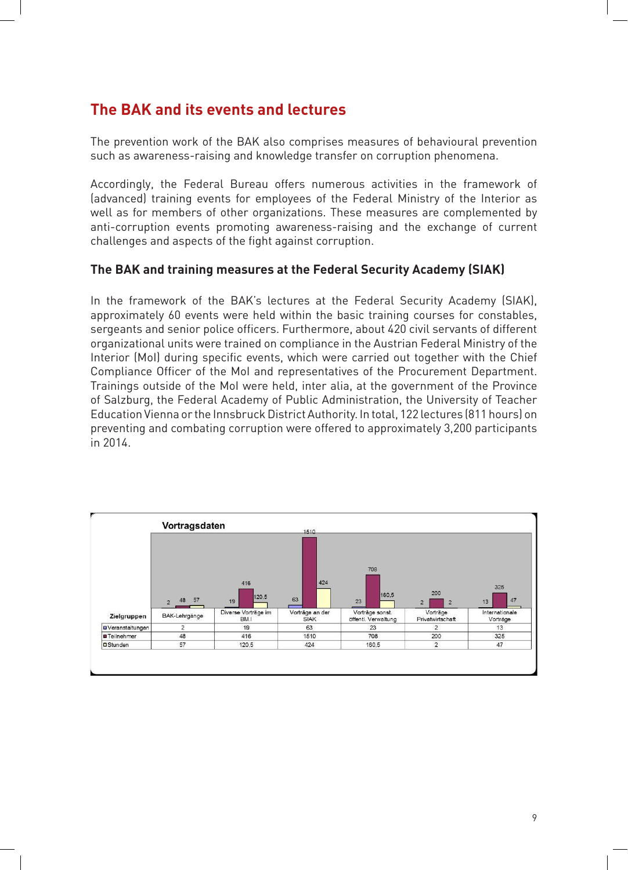# **The BAK and its events and lectures**

The prevention work of the BAK also comprises measures of behavioural prevention such as awareness-raising and knowledge transfer on corruption phenomena.

Accordingly, the Federal Bureau offers numerous activities in the framework of (advanced) training events for employees of the Federal Ministry of the Interior as well as for members of other organizations. These measures are complemented by anti-corruption events promoting awareness-raising and the exchange of current challenges and aspects of the fight against corruption.

#### **The BAK and training measures at the Federal Security Academy (SIAK)**

In the framework of the BAK's lectures at the Federal Security Academy (SIAK), approximately 60 events were held within the basic training courses for constables, sergeants and senior police officers. Furthermore, about 420 civil servants of different organizational units were trained on compliance in the Austrian Federal Ministry of the Interior (MoI) during specific events, which were carried out together with the Chief Compliance Officer of the MoI and representatives of the Procurement Department. Trainings outside of the MoI were held, inter alia, at the government of the Province of Salzburg, the Federal Academy of Public Administration, the University of Teacher Education Vienna or the Innsbruck District Authority. In total, 122 lectures (811 hours) on preventing and combating corruption were offered to approximately 3,200 participants in 2014.

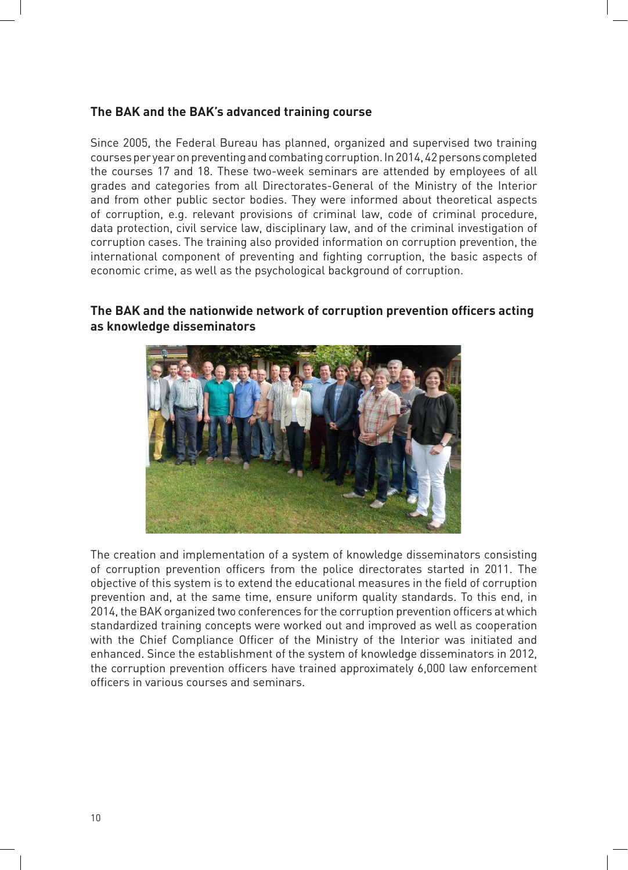#### **The BAK and the BAK's advanced training course**

Since 2005, the Federal Bureau has planned, organized and supervised two training courses per year on preventing and combating corruption. In 2014, 42 persons completed the courses 17 and 18. These two-week seminars are attended by employees of all grades and categories from all Directorates-General of the Ministry of the Interior and from other public sector bodies. They were informed about theoretical aspects of corruption, e.g. relevant provisions of criminal law, code of criminal procedure, data protection, civil service law, disciplinary law, and of the criminal investigation of corruption cases. The training also provided information on corruption prevention, the international component of preventing and fighting corruption, the basic aspects of economic crime, as well as the psychological background of corruption.



#### **The BAK and the nationwide network of corruption prevention oficers acting as knowledge disseminators**

The creation and implementation of a system of knowledge disseminators consisting of corruption prevention officers from the police directorates started in 2011. The objective of this system is to extend the educational measures in the field of corruption prevention and, at the same time, ensure uniform quality standards. To this end, in 2014, the BAK organized two conferences for the corruption prevention officers at which standardized training concepts were worked out and improved as well as cooperation with the Chief Compliance Officer of the Ministry of the Interior was initiated and enhanced. Since the establishment of the system of knowledge disseminators in 2012, the corruption prevention officers have trained approximately 6,000 law enforcement officers in various courses and seminars.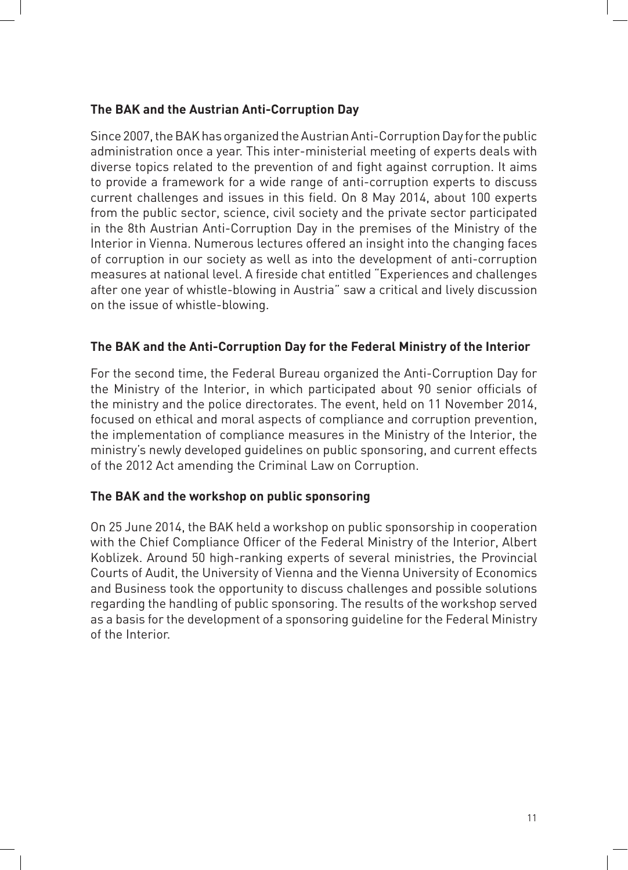#### **The BAK and the Austrian Anti-Corruption Day**

Since 2007, the BAK has organized the Austrian Anti-Corruption Day for the public administration once a year. This inter-ministerial meeting of experts deals with diverse topics related to the prevention of and fight against corruption. It aims to provide a framework for a wide range of anti-corruption experts to discuss current challenges and issues in this field. On 8 May 2014, about 100 experts from the public sector, science, civil society and the private sector participated in the 8th Austrian Anti-Corruption Day in the premises of the Ministry of the Interior in Vienna. Numerous lectures offered an insight into the changing faces of corruption in our society as well as into the development of anti-corruption measures at national level. A fireside chat entitled "Experiences and challenges after one year of whistle-blowing in Austria" saw a critical and lively discussion on the issue of whistle-blowing.

#### **The BAK and the Anti-Corruption Day for the Federal Ministry of the Interior**

For the second time, the Federal Bureau organized the Anti-Corruption Day for the Ministry of the Interior, in which participated about 90 senior officials of the ministry and the police directorates. The event, held on 11 November 2014, focused on ethical and moral aspects of compliance and corruption prevention, the implementation of compliance measures in the Ministry of the Interior, the ministry's newly developed quidelines on public sponsoring, and current effects of the 2012 Act amending the Criminal Law on Corruption.

#### **The BAK and the workshop on public sponsoring**

On 25 June 2014, the BAK held a workshop on public sponsorship in cooperation with the Chief Compliance Officer of the Federal Ministry of the Interior, Albert Koblizek. Around 50 high-ranking experts of several ministries, the Provincial Courts of Audit, the University of Vienna and the Vienna University of Economics and Business took the opportunity to discuss challenges and possible solutions regarding the handling of public sponsoring. The results of the workshop served as a basis for the development of a sponsoring guideline for the Federal Ministry of the Interior.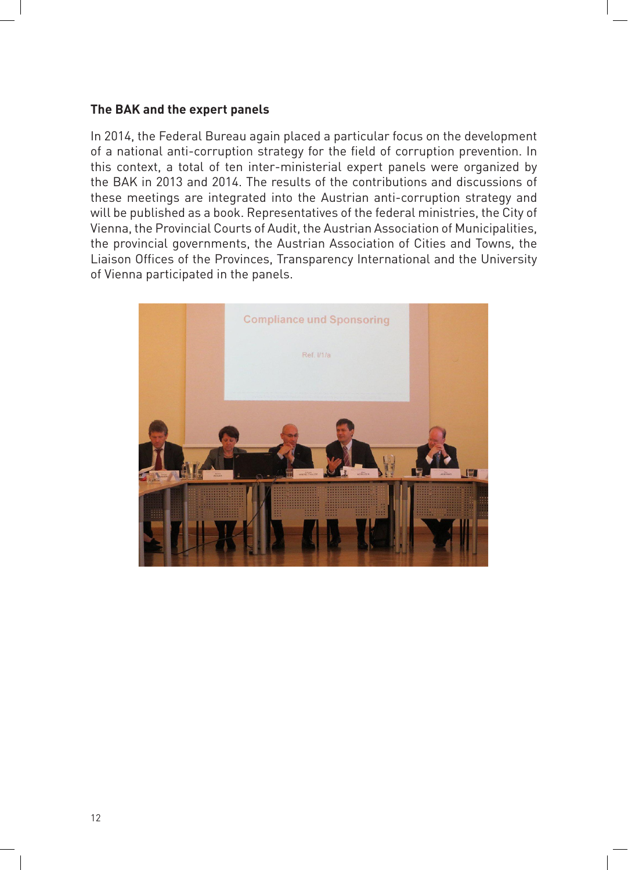#### **The BAK and the expert panels**

In 2014, the Federal Bureau again placed a particular focus on the development of a national anti-corruption strategy for the field of corruption prevention. In this context, a total of ten inter-ministerial expert panels were organized by the BAK in 2013 and 2014. The results of the contributions and discussions of these meetings are integrated into the Austrian anti-corruption strategy and will be published as a book. Representatives of the federal ministries, the City of Vienna, the Provincial Courts of Audit, the Austrian Association of Municipalities, the provincial governments, the Austrian Association of Cities and Towns, the Liaison Offices of the Provinces, Transparency International and the University of Vienna participated in the panels.

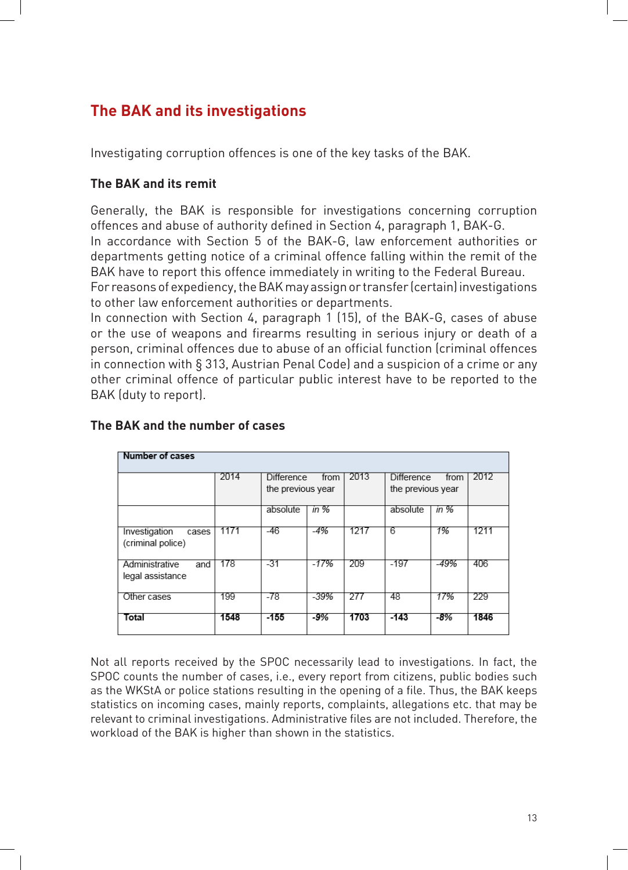# **The BAK and its investigations**

Investigating corruption offences is one of the key tasks of the BAK.

#### **The BAK and its remit**

Generally, the BAK is responsible for investigations concerning corruption offences and abuse of authority defined in Section 4, paragraph 1, BAK-G. In accordance with Section 5 of the BAK-G, law enforcement authorities or departments getting notice of a criminal offence falling within the remit of the BAK have to report this offence immediately in writing to the Federal Bureau. For reasons of expediency, the BAK may assign or transfer (certain) investigations to other law enforcement authorities or departments.

In connection with Section 4, paragraph 1 (15), of the BAK-G, cases of abuse or the use of weapons and firearms resulting in serious injury or death of a person, criminal offences due to abuse of an official function (criminal offences in connection with  $\S 313$ , Austrian Penal Code) and a suspicion of a crime or any other criminal offence of particular public interest have to be reported to the BAK (duty to report).

| Number of cases                             |      |                                                |        |      |                                                |       |      |
|---------------------------------------------|------|------------------------------------------------|--------|------|------------------------------------------------|-------|------|
|                                             | 2014 | <b>Difference</b><br>from<br>the previous year |        | 2013 | <b>Difference</b><br>from<br>the previous year |       | 2012 |
|                                             |      | absolute                                       | in %   |      | absolute                                       | in %  |      |
| Investigation<br>cases<br>(criminal police) | 1171 | -46                                            | -4%    | 1217 | 6                                              | 1%    | 1211 |
| Administrative<br>and<br>legal assistance   | 178  | -31                                            | $-17%$ | 209  | $-197$                                         | -49%  | 406  |
| Other cases                                 | 199  | -78                                            | -39%   | 277  | 48                                             | 17%   | 229  |
| Total                                       | 1548 | $-155$                                         | -9%    | 1703 | $-143$                                         | $-8%$ | 1846 |

#### **The BAK and the number of cases**

Not all reports received by the SPOC necessarily lead to investigations. In fact, the SPOC counts the number of cases, i.e., every report from citizens, public bodies such as the WKStA or police stations resulting in the opening of a file. Thus, the BAK keeps statistics on incoming cases, mainly reports, complaints, allegations etc. that may be relevant to criminal investigations. Administrative files are not included. Therefore, the workload of the BAK is higher than shown in the statistics.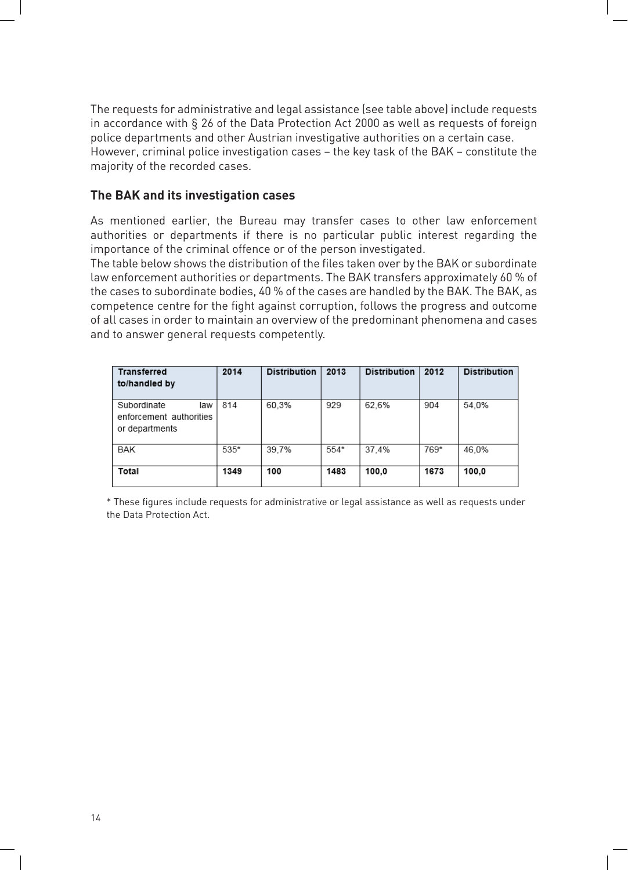The requests for administrative and legal assistance (see table above) include requests in accordance with § 26 of the Data Protection Act 2000 as well as requests of foreign police departments and other Austrian investigative authorities on a certain case. However, criminal police investigation cases – the key task of the BAK – constitute the majority of the recorded cases.

#### **The BAK and its investigation cases**

As mentioned earlier, the Bureau may transfer cases to other law enforcement authorities or departments if there is no particular public interest regarding the importance of the criminal offence or of the person investigated.

The table below shows the distribution of the files taken over by the BAK or subordinate law enforcement authorities or departments. The BAK transfers approximately 60 % of the cases to subordinate bodies, 40 % of the cases are handled by the BAK. The BAK, as competence centre for the fight against corruption, follows the progress and outcome of all cases in order to maintain an overview of the predominant phenomena and cases and to answer general requests competently.

| <b>Transferred</b><br>to/handled by                             | 2014 | <b>Distribution</b> | 2013 | <b>Distribution</b> | 2012 | <b>Distribution</b> |
|-----------------------------------------------------------------|------|---------------------|------|---------------------|------|---------------------|
| Subordinate<br>law<br>enforcement authorities<br>or departments | 814  | 60.3%               | 929  | 62.6%               | 904  | 54.0%               |
| BAK                                                             | 535* | 39.7%               | 554* | 37.4%               | 769* | 46.0%               |
| Total                                                           | 1349 | 100                 | 1483 | 100.0               | 1673 | 100.0               |

\* These figures include requests for administrative or legal assistance as well as requests under the Data Protection Act.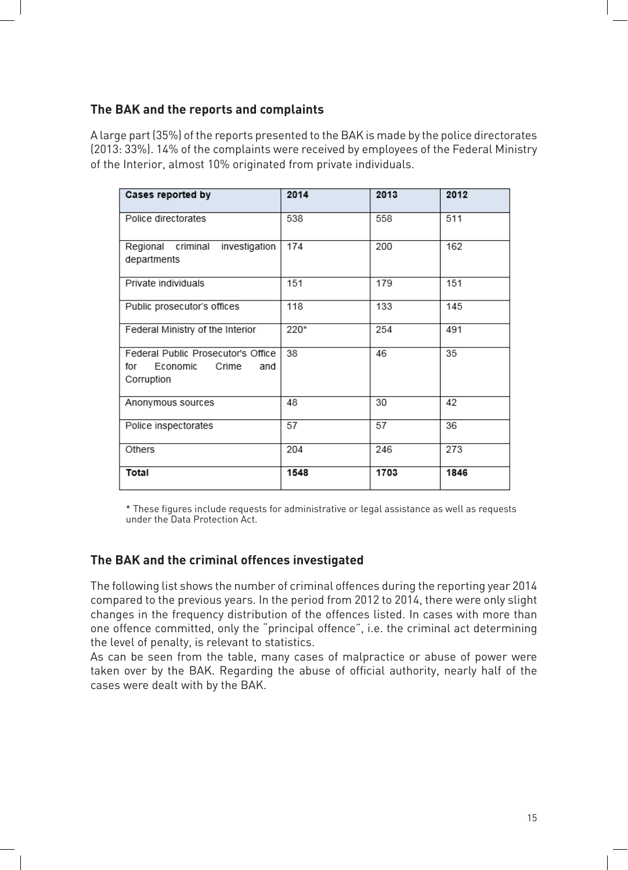#### **The BAK and the reports and complaints**

A large part (35%) of the reports presented to the BAK is made by the police directorates (2013: 33%). 14% of the complaints were received by employees of the Federal Ministry of the Interior, almost 10% originated from private individuals.

| Cases reported by                                                                   | 2014 | 2013 | 2012 |
|-------------------------------------------------------------------------------------|------|------|------|
| Police directorates                                                                 | 538  | 558  | 511  |
| investigation<br>Regional criminal<br>departments                                   | 174  | 200  | 162  |
| Private individuals                                                                 | 151  | 179  | 151  |
| Public prosecutor's offices                                                         | 118  | 133  | 145  |
| Federal Ministry of the Interior                                                    | 220* | 254  | 491  |
| Federal Public Prosecutor's Office<br>for<br>Economic<br>Crime<br>and<br>Corruption | 38   | 46   | 35   |
| Anonymous sources                                                                   | 48   | 30   | 42   |
| Police inspectorates                                                                | 57   | 57   | 36   |
| Others                                                                              | 204  | 246  | 273  |
| Total                                                                               | 1548 | 1703 | 1846 |

\* These figures include requests for administrative or legal assistance as well as requests under the Data Protection Act.

#### **The BAK and the criminal offences investigated**

The following list shows the number of criminal offences during the reporting year 2014 compared to the previous years. In the period from 2012 to 2014, there were only slight changes in the frequency distribution of the offences listed. In cases with more than one offence committed, only the "principal offence", i.e. the criminal act determining the level of penalty, is relevant to statistics.

As can be seen from the table, many cases of malpractice or abuse of power were taken over by the BAK. Regarding the abuse of official authority, nearly half of the cases were dealt with by the BAK.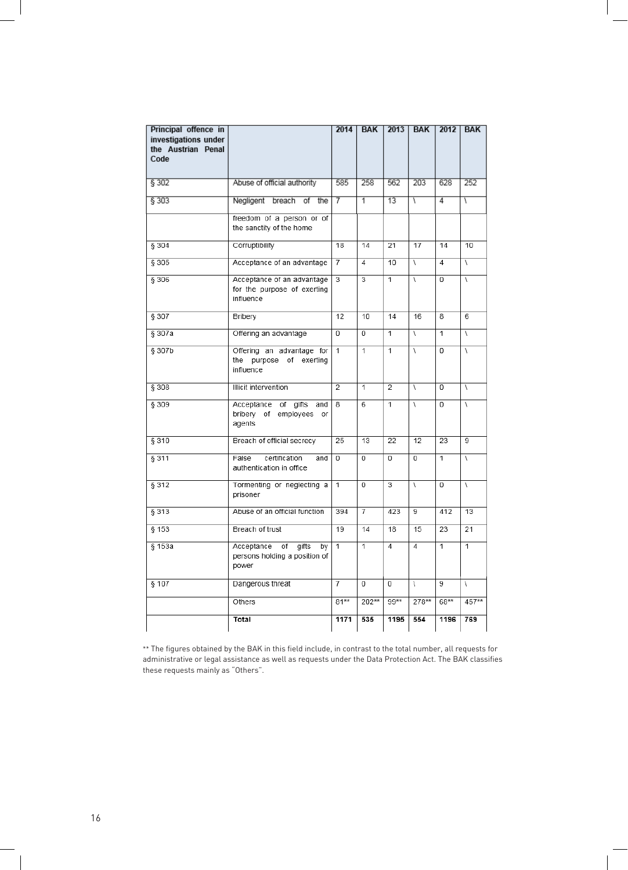| Principal offence in<br>investigations under<br>the Austrian Penal<br>Code |                                                                           | 2014            | <b>BAK</b>     | 2013           | <b>BAK</b>      | 2012           | <b>BAK</b>     |
|----------------------------------------------------------------------------|---------------------------------------------------------------------------|-----------------|----------------|----------------|-----------------|----------------|----------------|
| § 302                                                                      | Abuse of official authority                                               | 585             | 258            | 562            | 203             | 628            | 252            |
| \$303                                                                      | Negligent breach<br>of<br>the                                             | 7               | T              | 13             | V               | 4              | V              |
|                                                                            | freedom of a person or of<br>the sanctity of the home                     |                 |                |                |                 |                |                |
| § 304                                                                      | Corruptibility                                                            | 18              | 14             | 21             | 17              | 14             | 10             |
| § 305                                                                      | Acceptance of an advantage                                                | 7               | $\overline{4}$ | 10             | $\overline{ }$  | $\overline{4}$ | V              |
| § 306                                                                      | Acceptance of an advantage<br>for the purpose of exerting<br>influence    | 3               | 3              | 1              | $\sqrt{ }$      | 0              | V              |
| § 307                                                                      | Bribery                                                                   | $\overline{12}$ | 10             | 14             | 16              | 8              | 6              |
| § 307a                                                                     | Offering an advantage                                                     | 0               | $\overline{0}$ | $\overline{1}$ | $\sqrt{ }$      | $\overline{1}$ | $\sqrt{ }$     |
| § 307b                                                                     | Offering an advantage for<br>the purpose of exerting<br>influence         | 1               | $\overline{1}$ | 1              | $\sqrt{ }$      | 0              | V              |
| § 308                                                                      | <b>Illicit intervention</b>                                               | $\overline{2}$  | $\overline{1}$ | $\overline{2}$ | $\overline{ }$  | 0              | $\lambda$      |
| § 309                                                                      | gifts<br>Acceptance of<br>and<br>bribery of employees<br>or<br>agents     | 8               | 6              | $\overline{1}$ | $\sqrt{ }$      | 0              | $\overline{ }$ |
| § 310                                                                      | Breach of official secrecy                                                | 25              | 13             | 22             | $\overline{12}$ | 23             | 9              |
| § 311                                                                      | False<br>certification<br>and<br>authentication in office                 | $\overline{0}$  | $\overline{0}$ | $\overline{0}$ | $\overline{0}$  | $\overline{1}$ | $\sqrt{ }$     |
| § 312                                                                      | Tormenting or neglecting a<br>prisoner                                    | 1               | 0              | 3              | $\overline{ }$  | 0              | V              |
| § 313                                                                      | Abuse of an official function                                             | 394             | $\overline{7}$ | 423            | 9               | 412            | 13             |
| § 153                                                                      | Breach of trust                                                           | 19              | 14             | 18             | 15              | 23             | 21             |
| § 153a                                                                     | Acceptance<br>of<br>gifts<br>by<br>persons holding a position of<br>power | $\overline{1}$  | $\overline{1}$ | $\overline{4}$ | $\overline{4}$  | $\overline{1}$ | $\overline{1}$ |
| § 107                                                                      | Dangerous threat                                                          | $\overline{7}$  | $\overline{0}$ | $\overline{0}$ | $\sqrt{ }$      | $\overline{9}$ | V              |
|                                                                            | Others                                                                    | $81**$          | 202**          | $99**$         | 278**           | 68**           | 457**          |
|                                                                            | Total                                                                     | 1171            | 535            | 1195           | 554             | 1196           | 769            |

\*\* The figures obtained by the BAK in this field include, in contrast to the total number, all requests for administrative or legal assistance as well as requests under the Data Protection Act. The BAK classifies these requests mainly as "Others".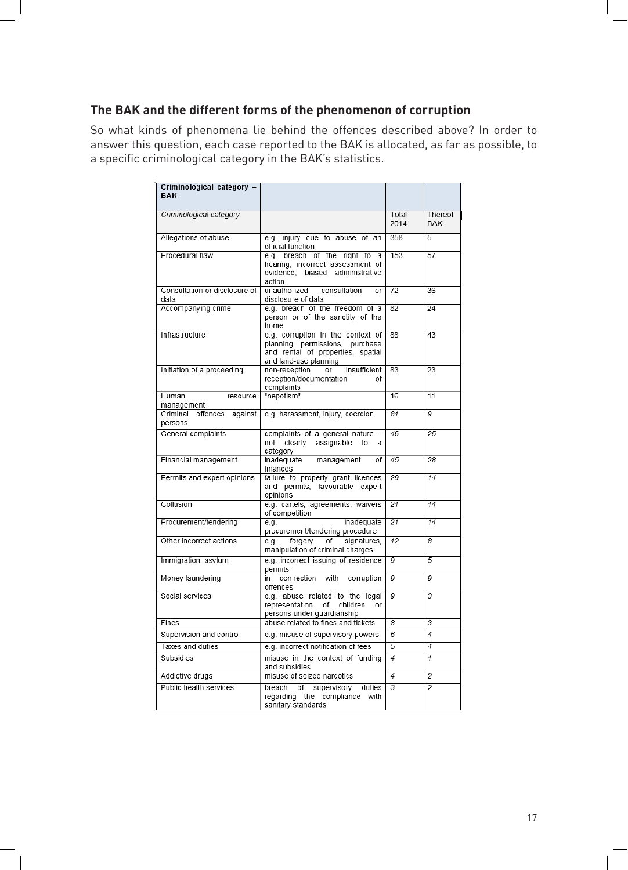#### **The BAK and the different forms of the phenomenon of corruption**

So what kinds of phenomena lie behind the offences described above? In order to answer this question, each case reported to the BAK is allocated, as far as possible, to a specific criminological category in the BAK's statistics.

| Criminological category -<br><b>BAK</b> |                                                                                                                                   |                 |                |
|-----------------------------------------|-----------------------------------------------------------------------------------------------------------------------------------|-----------------|----------------|
| Criminological category                 |                                                                                                                                   | Total           | Thereof        |
|                                         |                                                                                                                                   | 2014            | <b>BAK</b>     |
| Allegations of abuse                    | e.g. injury due to abuse of an<br>official function                                                                               | 358             | 5              |
| Procedural flaw                         | e.g. breach of the right to<br>a<br>hearing, incorrect assessment of<br>evidence, biased administrative<br>action                 | 153             | 57             |
| Consultation or disclosure of<br>data   | unauthorized<br>consultation<br>or<br>disclosure of data                                                                          | $\overline{72}$ | 36             |
| Accompanying crime                      | e.g. breach of the freedom of a<br>person or of the sanctity of the<br>home                                                       | 82              | 24             |
| Infrastructure                          | e.g. corruption in the context of<br>planning permissions, purchase<br>and rental of properties, spatial<br>and land-use planning | 88              | 43             |
| Initiation of a proceeding              | non-reception<br>insufficient<br>or<br>reception/documentation<br>οf<br>complaints                                                | 83              | 23             |
| Human<br>resource<br>management         | "nepotism"                                                                                                                        | 16              | 11             |
| against<br>Criminal offences<br>persons | e.g. harassment, injury, coercion                                                                                                 | 81              | 9              |
| General complaints                      | complaints of a general nature -<br>not clearly assignable<br>to<br>а<br>category                                                 | 46              | 25             |
| Financial management                    | inadequate management<br>οf<br>finances                                                                                           | 45              | 28             |
| Permits and expert opinions             | failure to properly grant licences<br>and permits, favourable expert<br>opinions                                                  | 29              | 14             |
| Collusion                               | e.g. cartels, agreements, waivers<br>of competition                                                                               | 21              | 14             |
| Procurement/tendering                   | inadequate<br>e.g.<br>procurement/tendering procedure                                                                             | 21              | 14             |
| Other incorrect actions                 | signatures,<br>forgery<br>of<br>e.g.<br>manipulation of criminal charges                                                          | 12              | 8              |
| Immigration, asylum                     | e.g. incorrect issuing of residence<br>permits                                                                                    | 9               | 5              |
| Money laundering                        | in connection with<br>corruption<br>offences                                                                                      | 9               | 9              |
| Social services                         | e.g. abuse related to the legal<br>representation<br>οf<br>children<br>or<br>persons under guardianship                           | 9               | 3              |
| Fines                                   | abuse related to fines and tickets                                                                                                | $\overline{s}$  | 3              |
| Supervision and control                 | e.g. misuse of supervisory powers                                                                                                 | 6               | 4              |
| Taxes and duties                        | e.g. incorrect notification of fees                                                                                               | 5               | 4              |
| Subsidies                               | misuse in the context of funding<br>and subsidies                                                                                 | 4               | 1              |
| Addictive drugs                         | misuse of seized narcotics                                                                                                        | 4               | 2              |
| Public health services                  | breach of supervisory<br>duties<br>regarding the compliance<br>with<br>sanitary standards                                         | 3               | $\overline{2}$ |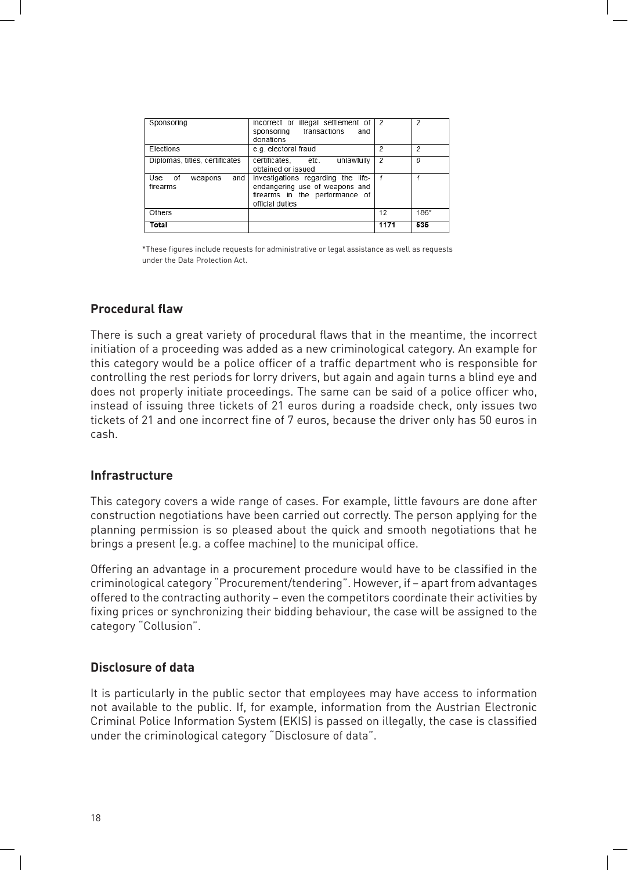| Sponsoring                              | incorrect or illegal settlement of<br>sponsoring transactions<br>and<br>donations                                         | - 2  | 2    |
|-----------------------------------------|---------------------------------------------------------------------------------------------------------------------------|------|------|
| Elections                               | e.g. electoral fraud                                                                                                      | 2    | 2    |
| Diplomas, titles, certificates          | certificates. etc.<br>unlawfully<br>obtained or issued                                                                    | 2    | 0    |
| Use<br>of<br>and<br>weapons<br>firearms | investigations regarding the life-<br>endangering use of weapons and<br>firearms in the performance of<br>official duties |      |      |
| Others                                  |                                                                                                                           | 12   | 186* |
| Total                                   |                                                                                                                           | 1171 | 535  |

\*These figures include requests for administrative or legal assistance as well as requests under the Data Protection Act.

#### **Procedural flaw**

There is such a great variety of procedural flaws that in the meantime, the incorrect initiation of a proceeding was added as a new criminological category. An example for this category would be a police officer of a traffic department who is responsible for controlling the rest periods for lorry drivers, but again and again turns a blind eye and does not properly initiate proceedings. The same can be said of a police officer who, instead of issuing three tickets of 21 euros during a roadside check, only issues two tickets of 21 and one incorrect fine of 7 euros, because the driver only has 50 euros in cash.

#### **Infrastructure**

This category covers a wide range of cases. For example, little favours are done after construction negotiations have been carried out correctly. The person applying for the planning permission is so pleased about the quick and smooth negotiations that he brings a present (e.g. a coffee machine) to the municipal office.

Offering an advantage in a procurement procedure would have to be classified in the criminological category "Procurement/tendering". However, if - apart from advantages offered to the contracting authority – even the competitors coordinate their activities by fixing prices or synchronizing their bidding behaviour, the case will be assigned to the category "Collusion".

#### **Disclosure of data**

It is particularly in the public sector that employees may have access to information not available to the public. If, for example, information from the Austrian Electronic Criminal Police Information System (EKIS) is passed on illegally, the case is classified under the criminological category "Disclosure of data".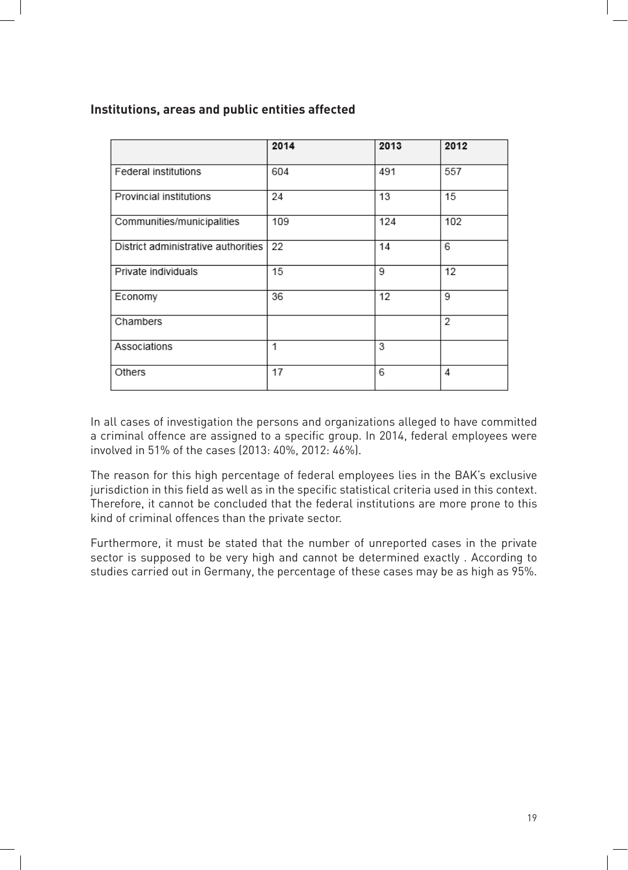#### **Institutions, areas and public entities affected**

|                                     | 2014 | 2013 | 2012 |
|-------------------------------------|------|------|------|
| Federal institutions                | 604  | 491  | 557  |
| Provincial institutions             | 24   | 13   | 15   |
| Communities/municipalities          | 109  | 124  | 102  |
| District administrative authorities | 22   | 14   | 6    |
| Private individuals                 | 15   | 9    | 12   |
| Economy                             | 36   | 12   | 9    |
| Chambers                            |      |      | 2    |
| Associations                        | 1    | 3    |      |
| Others                              | 17   | 6    | 4    |

In all cases of investigation the persons and organizations alleged to have committed a criminal offence are assigned to a specific group. In 2014, federal employees were involved in 51% of the cases (2013: 40%, 2012: 46%).

The reason for this high percentage of federal employees lies in the BAK's exclusive jurisdiction in this field as well as in the specific statistical criteria used in this context. Therefore, it cannot be concluded that the federal institutions are more prone to this kind of criminal offences than the private sector.

Furthermore, it must be stated that the number of unreported cases in the private sector is supposed to be very high and cannot be determined exactly . According to studies carried out in Germany, the percentage of these cases may be as high as 95%.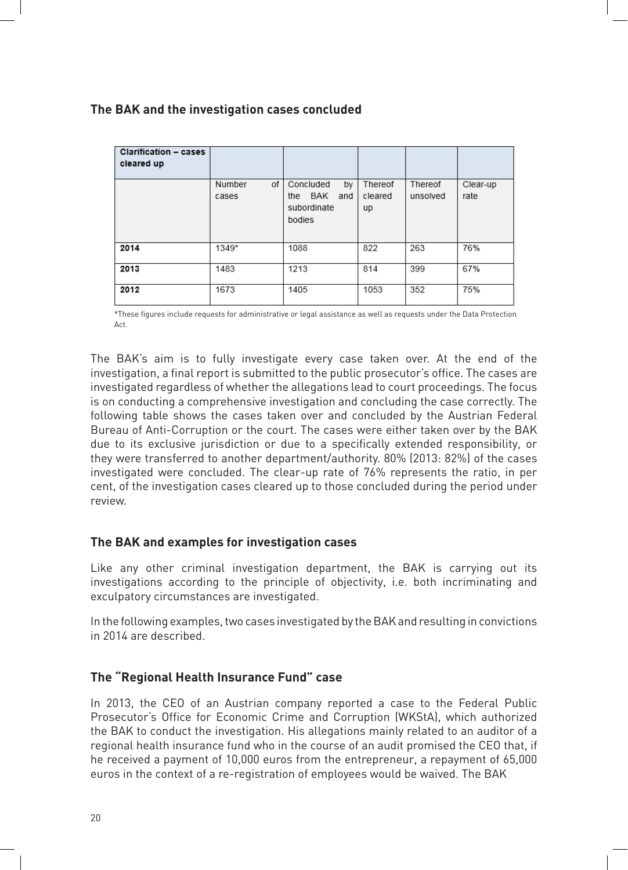#### **The BAK and the investigation cases concluded**

| <b>Clarification - cases</b><br>cleared up |                       |                                                            |                          |                     |                  |
|--------------------------------------------|-----------------------|------------------------------------------------------------|--------------------------|---------------------|------------------|
|                                            | οf<br>Number<br>cases | Concluded<br>by<br>BAK and<br>the<br>subordinate<br>bodies | Thereof<br>cleared<br>up | Thereof<br>unsolved | Clear-up<br>rate |
| 2014                                       | 1349*                 | 1088                                                       | 822                      | 263                 | 76%              |
| 2013                                       | 1483                  | 1213                                                       | 814                      | 399                 | 67%              |
| 2012                                       | 1673                  | 1405                                                       | 1053                     | 352                 | 75%              |

\*These figures include requests for administrative or legal assistance as well as requests under the Data Protection Act.

The BAK's aim is to fully investigate every case taken over. At the end of the investigation, a final report is submitted to the public prosecutor's office. The cases are investigated regardless of whether the allegations lead to court proceedings. The focus is on conducting a comprehensive investigation and concluding the case correctly. The following table shows the cases taken over and concluded by the Austrian Federal Bureau of Anti-Corruption or the court. The cases were either taken over by the BAK due to its exclusive jurisdiction or due to a specifically extended responsibility, or they were transferred to another department/authority. 80% (2013: 82%) of the cases investigated were concluded. The clear-up rate of 76% represents the ratio, in per cent, of the investigation cases cleared up to those concluded during the period under review.

#### **The BAK and examples for investigation cases**

Like any other criminal investigation department, the BAK is carrying out its investigations according to the principle of objectivity, i.e. both incriminating and exculpatory circumstances are investigated.

In the following examples, two cases investigated by the BAK and resulting in convictions in 2014 are described.

#### **The "Regional Health Insurance Fund" case**

In 2013, the CEO of an Austrian company reported a case to the Federal Public Prosecutor's Office for Economic Crime and Corruption (WKStA), which authorized the BAK to conduct the investigation. His allegations mainly related to an auditor of a regional health insurance fund who in the course of an audit promised the CEO that, if he received a payment of 10,000 euros from the entrepreneur, a repayment of 65,000 euros in the context of a re-registration of employees would be waived. The BAK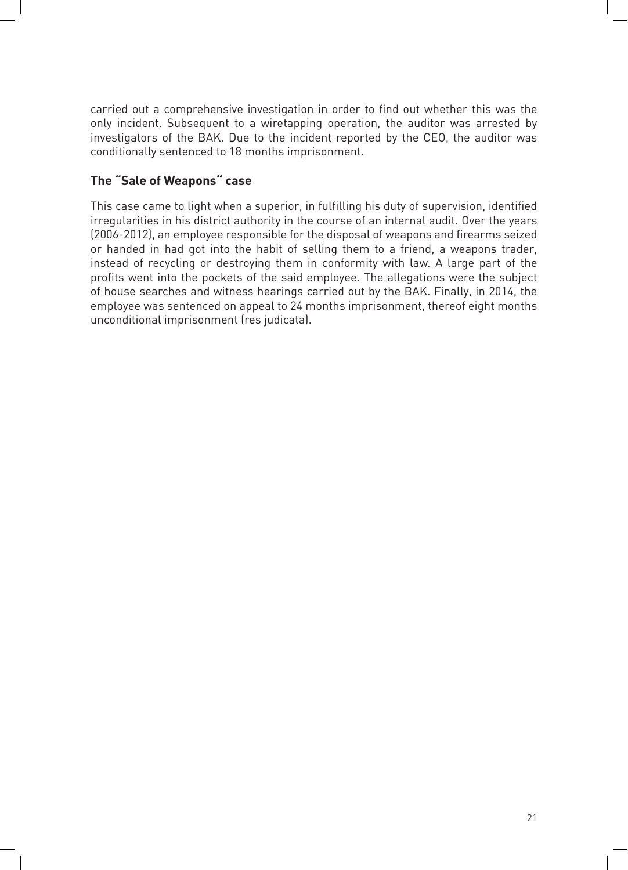carried out a comprehensive investigation in order to find out whether this was the only incident. Subsequent to a wiretapping operation, the auditor was arrested by investigators of the BAK. Due to the incident reported by the CEO, the auditor was conditionally sentenced to 18 months imprisonment.

#### **The "Sale of Weapons" case**

This case came to light when a superior, in fulfilling his duty of supervision, identified irregularities in his district authority in the course of an internal audit. Over the years (2006-2012), an employee responsible for the disposal of weapons and firearms seized or handed in had got into the habit of selling them to a friend, a weapons trader, instead of recycling or destroying them in conformity with law. A large part of the profits went into the pockets of the said employee. The allegations were the subject of house searches and witness hearings carried out by the BAK. Finally, in 2014, the employee was sentenced on appeal to 24 months imprisonment, thereof eight months unconditional imprisonment (res judicata).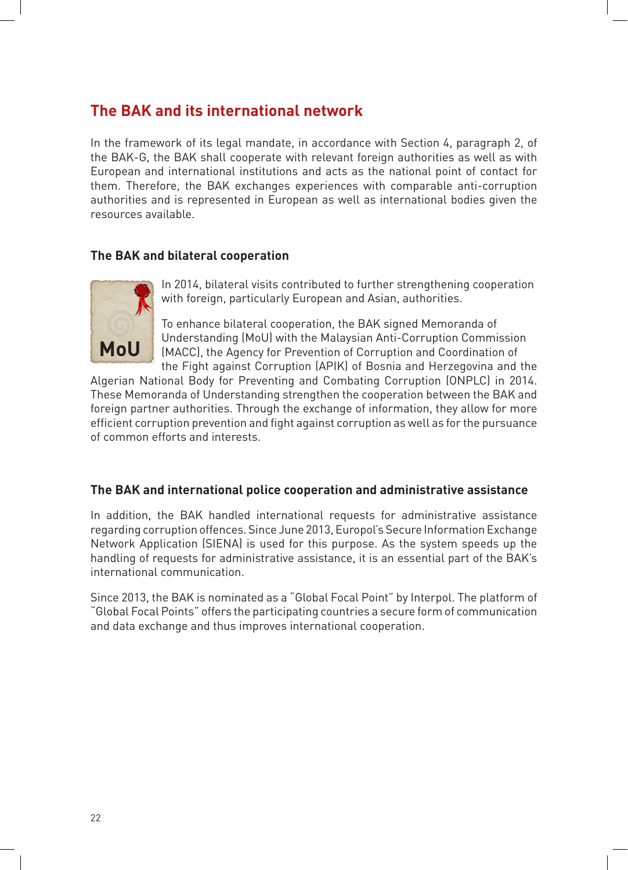# **The BAK and its international network**

In the framework of its legal mandate, in accordance with Section 4, paragraph 2, of the BAK-G, the BAK shall cooperate with relevant foreign authorities as well as with European and international institutions and acts as the national point of contact for them. Therefore, the BAK exchanges experiences with comparable anti-corruption authorities and is represented in European as well as international bodies given the resources available.

#### **The BAK and bilateral cooperation**



In 2014, bilateral visits contributed to further strengthening cooperation with foreign, particularly European and Asian, authorities.

To enhance bilateral cooperation, the BAK signed Memoranda of Understanding (MoU) with the Malaysian Anti-Corruption Commission (MACC), the Agency for Prevention of Corruption and Coordination of the Fight against Corruption (APIK) of Bosnia and Herzegovina and the

Algerian National Body for Preventing and Combating Corruption (ONPLC) in 2014. These Memoranda of Understanding strengthen the cooperation between the BAK and foreign partner authorities. Through the exchange of information, they allow for more efficient corruption prevention and fight against corruption as well as for the pursuance of common efforts and interests.

#### **The BAK and international police cooperation and administrative assistance**

In addition, the BAK handled international requests for administrative assistance regarding corruption offences. Since June 2013, Europol's Secure Information Exchange Network Application (SIENA) is used for this purpose. As the system speeds up the handling of requests for administrative assistance, it is an essential part of the BAK's international communication.

Since 2013, the BAK is nominated as a "Global Focal Point" by Interpol. The platform of "Global Focal Points" offers the participating countries a secure form of communication and data exchange and thus improves international cooperation.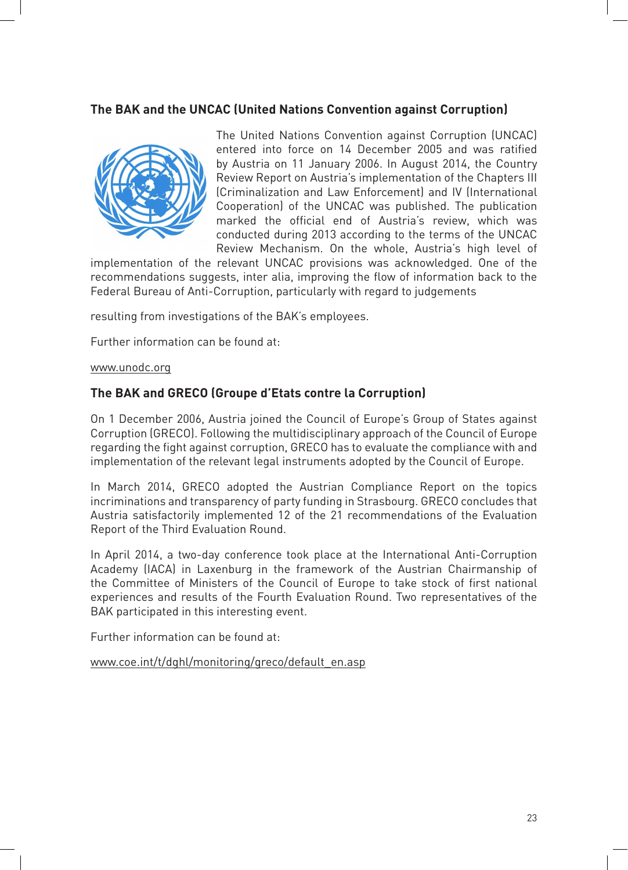#### **The BAK and the UNCAC (United Nations Convention against Corruption)**



The United Nations Convention against Corruption (UNCAC) entered into force on 14 December 2005 and was ratified by Austria on 11 January 2006. In August 2014, the Country Review Report on Austria's implementation of the Chapters III (Criminalization and Law Enforcement) and IV (International Cooperation) of the UNCAC was published. The publication marked the official end of Austria's review, which was conducted during 2013 according to the terms of the UNCAC Review Mechanism. On the whole, Austria's high level of

implementation of the relevant UNCAC provisions was acknowledged. One of the recommendations suggests, inter alia, improving the flow of information back to the Federal Bureau of Anti-Corruption, particularly with regard to judgements

resulting from investigations of the BAK's employees.

Further information can be found at:

www.unodc.org

#### **The BAK and GRECO (Groupe d'Etats contre la Corruption)**

On 1 December 2006, Austria joined the Council of Europe's Group of States against Corruption (GRECO). Following the multidisciplinary approach of the Council of Europe regarding the fight against corruption, GRECO has to evaluate the compliance with and implementation of the relevant legal instruments adopted by the Council of Europe.

In March 2014, GRECO adopted the Austrian Compliance Report on the topics incriminations and transparency of party funding in Strasbourg. GRECO concludes that Austria satisfactorily implemented 12 of the 21 recommendations of the Evaluation Report of the Third Evaluation Round.

In April 2014, a two-day conference took place at the International Anti-Corruption Academy (IACA) in Laxenburg in the framework of the Austrian Chairmanship of the Committee of Ministers of the Council of Europe to take stock of first national experiences and results of the Fourth Evaluation Round. Two representatives of the BAK participated in this interesting event.

Further information can be found at:

www.coe.int/t/dghl/monitoring/greco/default\_en.asp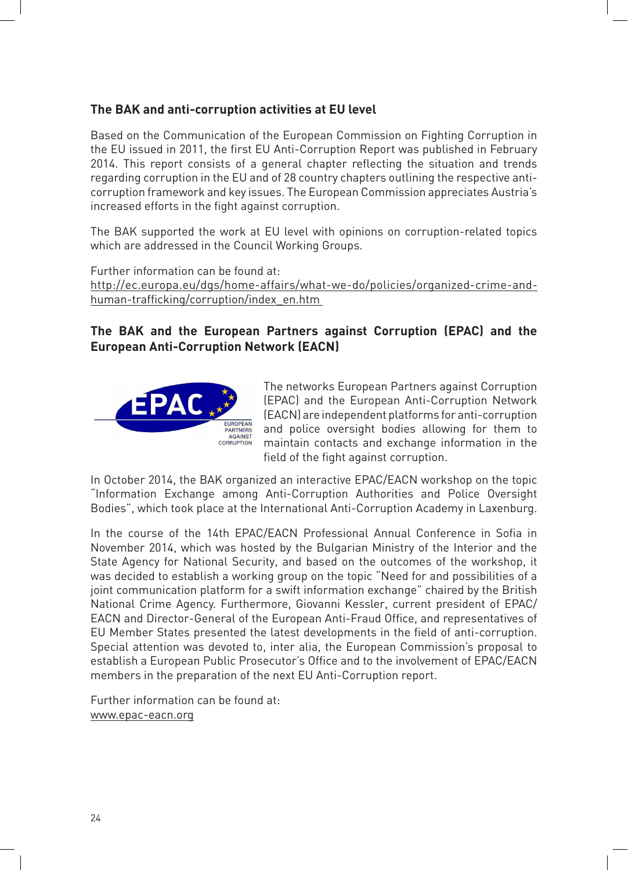#### **The BAK and anti-corruption activities at EU level**

Based on the Communication of the European Commission on Fighting Corruption in the EU issued in 2011, the first EU Anti-Corruption Report was published in February 2014. This report consists of a general chapter reflecting the situation and trends regarding corruption in the EU and of 28 country chapters outlining the respective anticorruption framework and key issues. The European Commission appreciates Austria's increased efforts in the fight against corruption.

The BAK supported the work at EU level with opinions on corruption-related topics which are addressed in the Council Working Groups.

Further information can be found at: http://ec.europa.eu/dgs/home-affairs/what-we-do/policies/organized-crime-andhuman-traficking/corruption/index\_en.htm 

#### **The BAK and the European Partners against Corruption (EPAC) and the European Anti-Corruption Network (EACN)**



The networks European Partners against Corruption (EPAC) and the European Anti-Corruption Network (EACN) are independent platforms for anti-corruption and police oversight bodies allowing for them to maintain contacts and exchange information in the field of the fight against corruption.

In October 2014, the BAK organized an interactive EPAC/EACN workshop on the topic "Information Exchange among Anti-Corruption Authorities and Police Oversight Bodies", which took place at the International Anti-Corruption Academy in Laxenburg.

In the course of the 14th EPAC/EACN Professional Annual Conference in Sofia in November 2014, which was hosted by the Bulgarian Ministry of the Interior and the State Agency for National Security, and based on the outcomes of the workshop, it was decided to establish a working group on the topic "Need for and possibilities of a joint communication platform for a swift information exchange" chaired by the British National Crime Agency. Furthermore, Giovanni Kessler, current president of EPAC/ EACN and Director-General of the European Anti-Fraud Office, and representatives of EU Member States presented the latest developments in the field of anti-corruption. Special attention was devoted to, inter alia, the European Commission's proposal to establish a European Public Prosecutor's Office and to the involvement of EPAC/EACN members in the preparation of the next EU Anti-Corruption report.

Further information can be found at: www.epac-eacn.org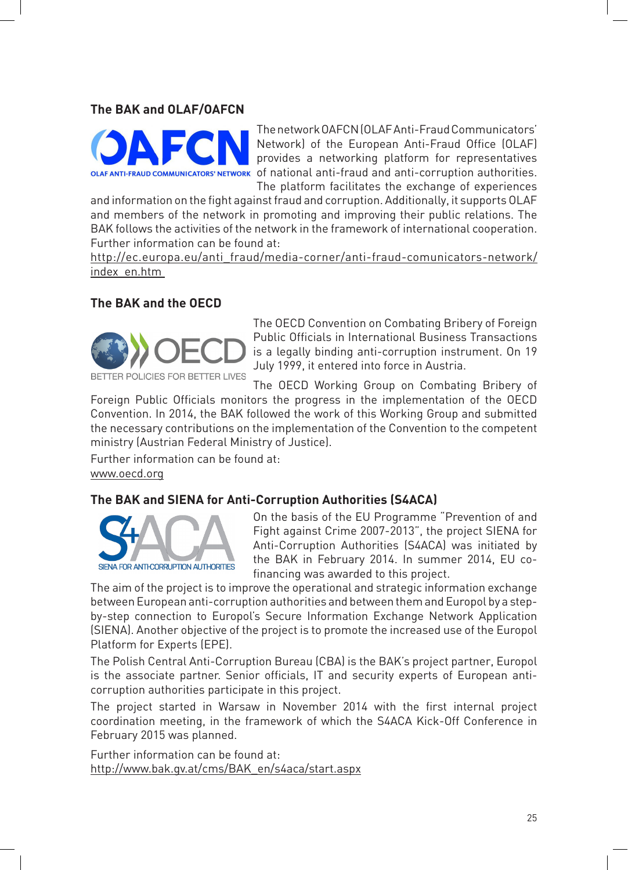#### **The BAK and OLAF/OAFCN**



The network OAFCN (OLAF Anti-Fraud Communicators' Network) of the European Anti-Fraud Office (OLAF) provides a networking platform for representatives of national anti-fraud and anti-corruption authorities. The platform facilitates the exchange of experiences

and information on the fight against fraud and corruption. Additionally, it supports OLAF and members of the network in promoting and improving their public relations. The BAK follows the activities of the network in the framework of international cooperation. Further information can be found at:

http://ec.europa.eu/anti\_fraud/media-corner/anti-fraud-comunicators-network/ index\_en.htm

#### **The BAK and the OECD**



The OECD Convention on Combating Bribery of Foreign Public Officials in International Business Transactions is a legally binding anti-corruption instrument. On 19 July 1999, it entered into force in Austria.

The OECD Working Group on Combating Bribery of

Foreign Public Officials monitors the progress in the implementation of the OECD Convention. In 2014, the BAK followed the work of this Working Group and submitted the necessary contributions on the implementation of the Convention to the competent ministry (Austrian Federal Ministry of Justice).

Further information can be found at: www.oecd.org

#### **The BAK and SIENA for Anti-Corruption Authorities (S4ACA)**



On the basis of the EU Programme "Prevention of and Fight against Crime 2007-2013", the project SIENA for Anti-Corruption Authorities (S4ACA) was initiated by the BAK in February 2014. In summer 2014, EU cofinancing was awarded to this project.

The aim of the project is to improve the operational and strategic information exchange between European anti-corruption authorities and between them and Europol by a stepby-step connection to Europol's Secure Information Exchange Network Application (SIENA). Another objective of the project is to promote the increased use of the Europol Platform for Experts (EPE).

The Polish Central Anti-Corruption Bureau (CBA) is the BAK's project partner, Europol is the associate partner. Senior officials, IT and security experts of European anticorruption authorities participate in this project.

The project started in Warsaw in November 2014 with the first internal project coordination meeting, in the framework of which the S4ACA Kick-Off Conference in February 2015 was planned.

Further information can be found at: http://www.bak.gv.at/cms/BAK\_en/s4aca/start.aspx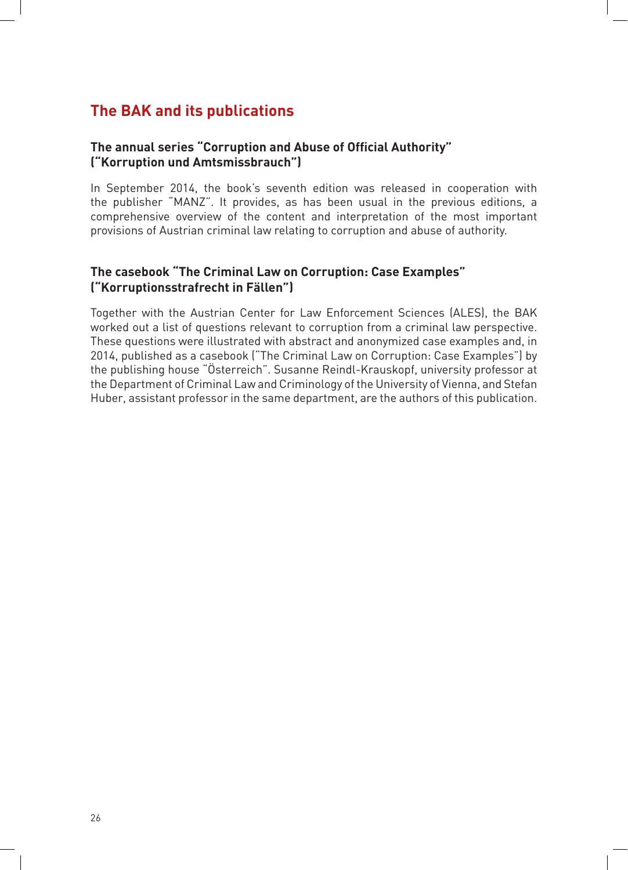# **The BAK and its publications**

#### **The annual series "Corruption and Abuse of Oficial Authority" ("Korruption und Amtsmissbrauch")**

In September 2014, the book's seventh edition was released in cooperation with the publisher "MANZ". It provides, as has been usual in the previous editions, a comprehensive overview of the content and interpretation of the most important provisions of Austrian criminal law relating to corruption and abuse of authority.

#### **The casebook "The Criminal Law on Corruption: Case Examples" ("Korruptionsstrafrecht in Fällen")**

Together with the Austrian Center for Law Enforcement Sciences (ALES), the BAK worked out a list of questions relevant to corruption from a criminal law perspective. These questions were illustrated with abstract and anonymized case examples and, in 2014, published as a casebook ("The Criminal Law on Corruption: Case Examples") by the publishing house "Österreich". Susanne Reindl-Krauskopf, university professor at the Department of Criminal Law and Criminology of the University of Vienna, and Stefan Huber, assistant professor in the same department, are the authors of this publication.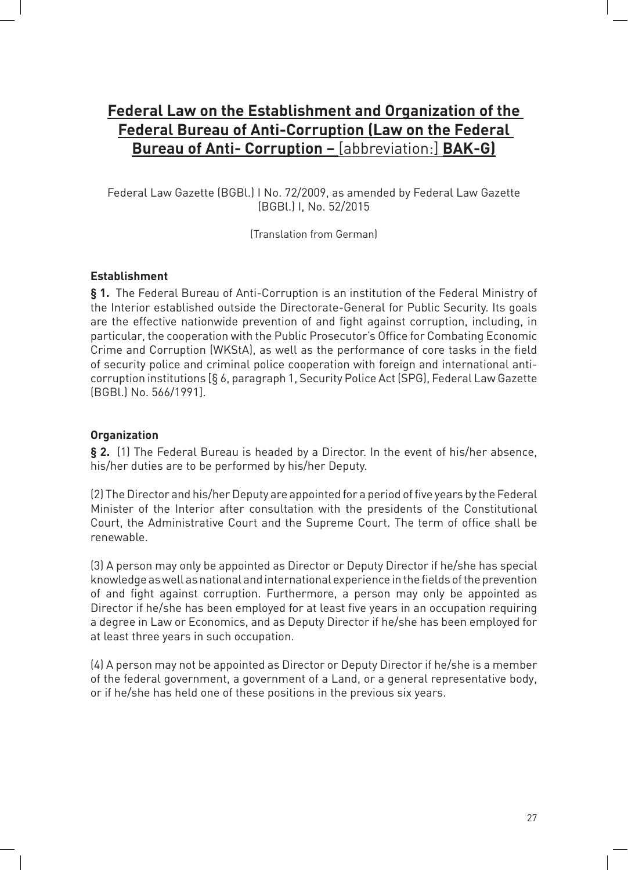# **Federal Law on the Establishment and Organization of the Federal Bureau of Anti-Corruption (Law on the Federal Bureau of Anti- Corruption –** [abbreviation:] **BAK-G)**

Federal Law Gazette (BGBL) I No. 72/2009, as amended by Federal Law Gazette (BGBl.) I, No. 52/2015

(Translation from German)

#### **Establishment**

**§ 1.** The Federal Bureau of Anti-Corruption is an institution of the Federal Ministry of the Interior established outside the Directorate-General for Public Security. Its goals are the effective nationwide prevention of and fight against corruption, including, in particular, the cooperation with the Public Prosecutor's Office for Combating Economic Crime and Corruption (WKStA), as well as the performance of core tasks in the field of security police and criminal police cooperation with foreign and international anticorruption institutions [§ 6, paragraph 1, Security Police Act (SPG), Federal Law Gazette (BGBl.) No. 566/1991].

#### **Organization**

§ 2. (1) The Federal Bureau is headed by a Director. In the event of his/her absence, his/her duties are to be performed by his/her Deputy.

(2) The Director and his/her Deputy are appointed for a period of five years by the Federal Minister of the Interior after consultation with the presidents of the Constitutional Court, the Administrative Court and the Supreme Court. The term of office shall be renewable.

(3) A person may only be appointed as Director or Deputy Director if he/she has special knowledge as well as national and international experience in the fields of the prevention of and fight against corruption. Furthermore, a person may only be appointed as Director if he/she has been employed for at least five years in an occupation requiring a degree in Law or Economics, and as Deputy Director if he/she has been employed for at least three years in such occupation.

(4) A person may not be appointed as Director or Deputy Director if he/she is a member of the federal government, a government of a Land, or a general representative body, or if he/she has held one of these positions in the previous six years.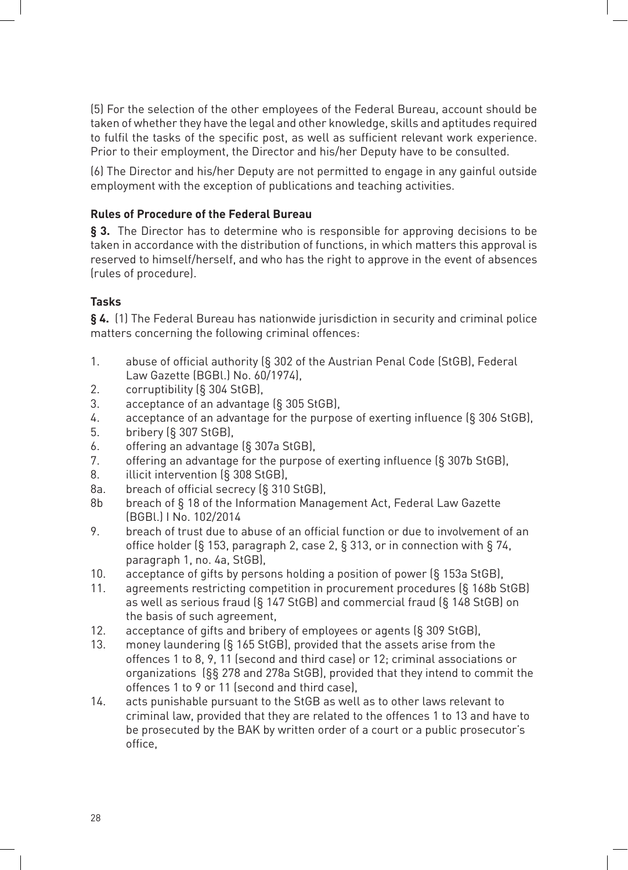(5) For the selection of the other employees of the Federal Bureau, account should be taken of whether they have the legal and other knowledge, skills and aptitudes required to fulfil the tasks of the specific post, as well as sufficient relevant work experience. Prior to their employment, the Director and his/her Deputy have to be consulted.

(6) The Director and his/her Deputy are not permitted to engage in any gainful outside employment with the exception of publications and teaching activities.

#### **Rules of Procedure of the Federal Bureau**

**§ 3.** The Director has to determine who is responsible for approving decisions to be taken in accordance with the distribution of functions, in which matters this approval is reserved to himself/herself, and who has the right to approve in the event of absences (rules of procedure).

#### **Tasks**

**§ 4.** (1) The Federal Bureau has nationwide jurisdiction in security and criminal police matters concerning the following criminal offences:

- 1. abuse of official authority (§ 302 of the Austrian Penal Code (StGB), Federal Law Gazette (BGBL) No. 60/1974),
- 2. corruptibility (§ 304 StGB),
- 3. acceptance of an advantage  $(S$  305 StGB),
- 4. acceptance of an advantage for the purpose of exerting influence (§ 306 StGB),
- 5. bribery (§ 307 StGB),
- 6. offering an advantage  $(S$  307a StGB),
- 7. offering an advantage for the purpose of exerting influence  $(\S$  307b StGB),
- 8. **illicit intervention** (§ 308 StGB),
- 8a. breach of official secrecy (§ 310 StGB),
- 8b breach of § 18 of the Information Management Act, Federal Law Gazette (BGBl.) I No. 102/2014
- 9. breach of trust due to abuse of an official function or due to involvement of an office holder (§ 153, paragraph 2, case 2, § 313, or in connection with § 74, paragraph 1, no. 4a, StGB),
- 10. acceptance of gifts by persons holding a position of power (§ 153a StGB),
- 11. agreements restricting competition in procurement procedures (§ 168b StGB) as well as serious fraud  $(S$  147 StGB) and commercial fraud  $(S$  148 StGB) on the basis of such agreement,
- 12. acceptance of gifts and bribery of employees or agents (§ 309 StGB),
- 13. money laundering (§ 165 StGB), provided that the assets arise from the offences 1 to 8, 9, 11 (second and third case) or 12; criminal associations or organizations (§§ 278 and 278a StGB), provided that they intend to commit the offences 1 to 9 or 11 (second and third case),
- 14. acts punishable pursuant to the StGB as well as to other laws relevant to criminal law, provided that they are related to the offences 1 to 13 and have to be prosecuted by the BAK by written order of a court or a public prosecutor's office.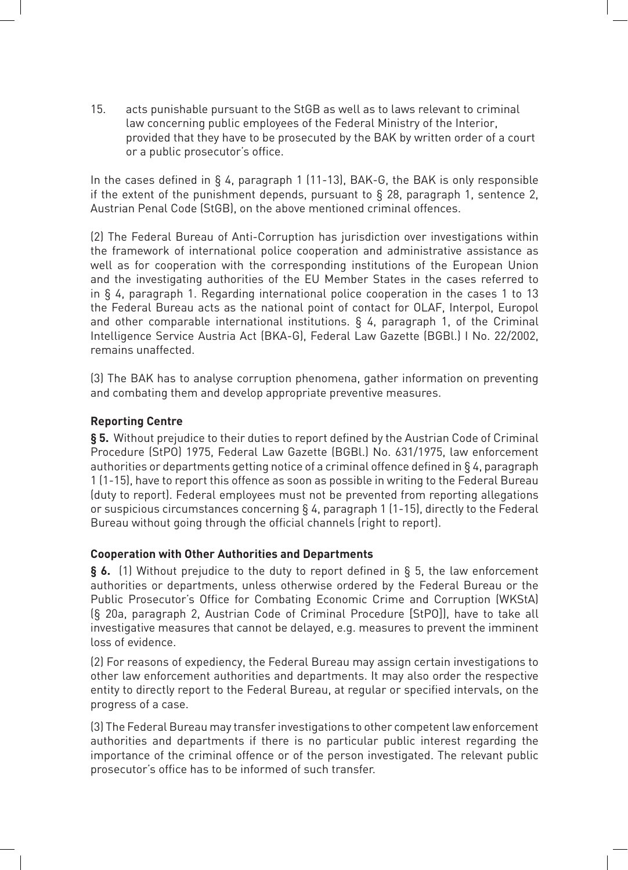15. acts punishable pursuant to the StGB as well as to laws relevant to criminal law concerning public employees of the Federal Ministry of the Interior, provided that they have to be prosecuted by the BAK by written order of a court or a public prosecutor's office.

In the cases defined in  $\S$  4, paragraph 1 (11-13), BAK-G, the BAK is only responsible if the extent of the punishment depends, pursuant to  $\S$  28, paragraph 1, sentence 2, Austrian Penal Code (StGB), on the above mentioned criminal offences.

(2) The Federal Bureau of Anti-Corruption has jurisdiction over investigations within the framework of international police cooperation and administrative assistance as well as for cooperation with the corresponding institutions of the European Union and the investigating authorities of the EU Member States in the cases referred to in  $\S$  4, paragraph 1. Regarding international police cooperation in the cases 1 to 13 the Federal Bureau acts as the national point of contact for OLAF, Interpol, Europol and other comparable international institutions.  $\S$  4, paragraph 1, of the Criminal Intelligence Service Austria Act (BKA-G), Federal Law Gazette (BGBL) I No. 22/2002, remains unaffected.

(3) The BAK has to analyse corruption phenomena, gather information on preventing and combating them and develop appropriate preventive measures.

#### **Reporting Centre**

§ 5. Without prejudice to their duties to report defined by the Austrian Code of Criminal Procedure (StPO) 1975, Federal Law Gazette (BGBL) No. 631/1975, law enforcement authorities or departments getting notice of a criminal offence defined in § 4, paragraph 1 (1-15), have to report this offence as soon as possible in writing to the Federal Bureau (duty to report). Federal employees must not be prevented from reporting allegations or suspicious circumstances concerning  $\S$  4, paragraph 1 (1-15), directly to the Federal Bureau without going through the official channels (right to report).

#### **Cooperation with Other Authorities and Departments**

**§ 6.** (1) Without prejudice to the duty to report defined in § 5, the law enforcement authorities or departments, unless otherwise ordered by the Federal Bureau or the Public Prosecutor's Office for Combating Economic Crime and Corruption (WKStA) (§ 20a, paragraph 2, Austrian Code of Criminal Procedure [StPO]), have to take all investigative measures that cannot be delayed, e.g. measures to prevent the imminent loss of evidence.

(2) For reasons of expediency, the Federal Bureau may assign certain investigations to other law enforcement authorities and departments. It may also order the respective entity to directly report to the Federal Bureau, at regular or specified intervals, on the progress of a case.

(3) The Federal Bureau may transfer investigations to other competent law enforcement authorities and departments if there is no particular public interest regarding the importance of the criminal offence or of the person investigated. The relevant public prosecutor's office has to be informed of such transfer.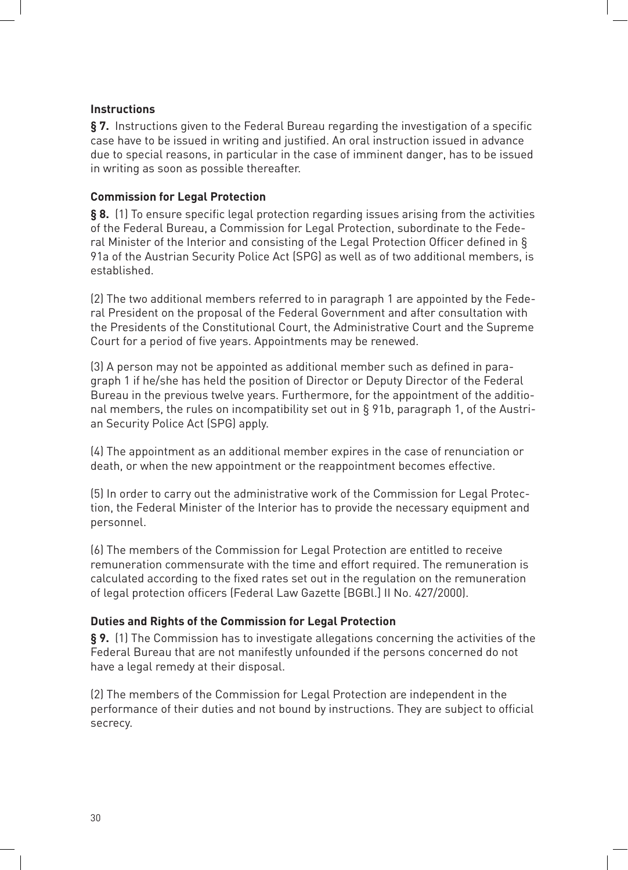#### **Instructions**

**§ 7.** Instructions given to the Federal Bureau regarding the investigation of a specific case have to be issued in writing and justified. An oral instruction issued in advance due to special reasons, in particular in the case of imminent danger, has to be issued in writing as soon as possible thereafter.

#### **Commission for Legal Protection**

§ 8. (1) To ensure specific legal protection regarding issues arising from the activities of the Federal Bureau, a Commission for Legal Protection, subordinate to the Federal Minister of the Interior and consisting of the Legal Protection Officer defined in  $\S$ 91a of the Austrian Security Police Act (SPG) as well as of two additional members, is established.

(2) The two additional members referred to in paragraph 1 are appointed by the Federal President on the proposal of the Federal Government and after consultation with the Presidents of the Constitutional Court, the Administrative Court and the Supreme Court for a period of five years. Appointments may be renewed.

(3) A person may not be appointed as additional member such as defined in paragraph 1 if he/she has held the position of Director or Deputy Director of the Federal Bureau in the previous twelve years. Furthermore, for the appointment of the additional members, the rules on incompatibility set out in  $\S$  91b, paragraph 1, of the Austrian Security Police Act (SPG) apply.

(4) The appointment as an additional member expires in the case of renunciation or death, or when the new appointment or the reappointment becomes effective.

(5) In order to carry out the administrative work of the Commission for Legal Protection, the Federal Minister of the Interior has to provide the necessary equipment and personnel.

(6) The members of the Commission for Legal Protection are entitled to receive remuneration commensurate with the time and effort required. The remuneration is calculated according to the fixed rates set out in the regulation on the remuneration of legal protection officers (Federal Law Gazette [BGBl.] II No. 427/2000).

#### **Duties and Rights of the Commission for Legal Protection**

**§ 9.** (1) The Commission has to investigate allegations concerning the activities of the Federal Bureau that are not manifestly unfounded if the persons concerned do not have a legal remedy at their disposal.

(2) The members of the Commission for Legal Protection are independent in the performance of their duties and not bound by instructions. They are subject to official secrecy.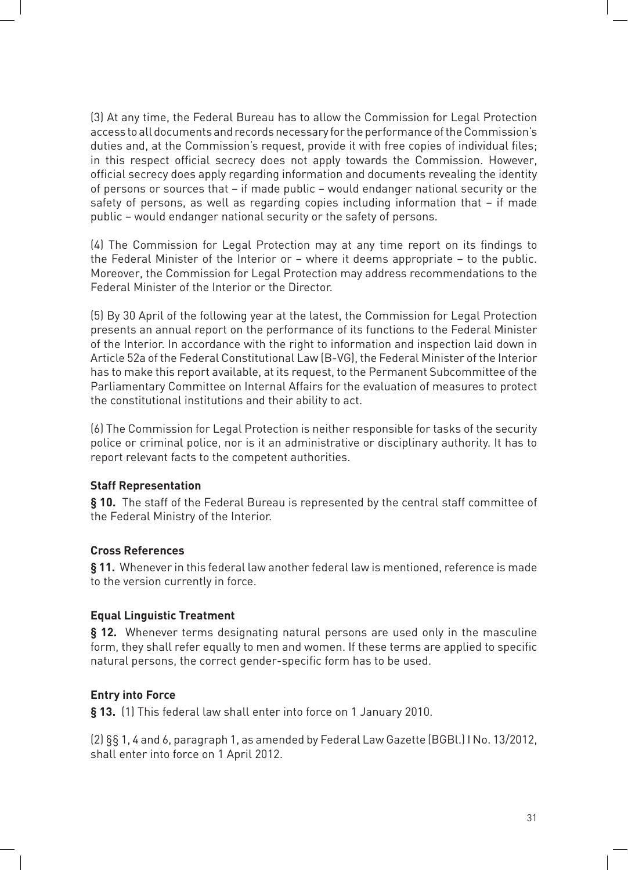(3) At any time, the Federal Bureau has to allow the Commission for Legal Protection access to all documents and records necessary for the performance of the Commission's duties and, at the Commission's request, provide it with free copies of individual files; in this respect official secrecy does not apply towards the Commission. However, official secrecy does apply regarding information and documents revealing the identity of persons or sources that – if made public – would endanger national security or the safety of persons, as well as regarding copies including information that - if made public – would endanger national security or the safety of persons.

(4) The Commission for Legal Protection may at any time report on its findings to the Federal Minister of the Interior or – where it deems appropriate – to the public. Moreover, the Commission for Legal Protection may address recommendations to the Federal Minister of the Interior or the Director.

(5) By 30 April of the following year at the latest, the Commission for Legal Protection presents an annual report on the performance of its functions to the Federal Minister of the Interior. In accordance with the right to information and inspection laid down in Article 52a of the Federal Constitutional Law (B-VG), the Federal Minister of the Interior has to make this report available, at its request, to the Permanent Subcommittee of the Parliamentary Committee on Internal Affairs for the evaluation of measures to protect the constitutional institutions and their ability to act.

(6) The Commission for Legal Protection is neither responsible for tasks of the security police or criminal police, nor is it an administrative or disciplinary authority. It has to report relevant facts to the competent authorities.

#### **Staff Representation**

**§ 10.** The staff of the Federal Bureau is represented by the central staff committee of the Federal Ministry of the Interior.

#### **Cross References**

**§ 11.** Whenever in this federal law another federal law is mentioned, reference is made to the version currently in force.

#### **Equal Linguistic Treatment**

§ 12. Whenever terms designating natural persons are used only in the masculine form, they shall refer equally to men and women. If these terms are applied to specific natural persons, the correct gender-specific form has to be used.

#### **Entry into Force**

**§ 13.** (1) This federal law shall enter into force on 1 January 2010.

(2) §§ 1, 4 and 6, paragraph 1, as amended by Federal Law Gazette (BGBL) I No. 13/2012, shall enter into force on 1 April 2012.